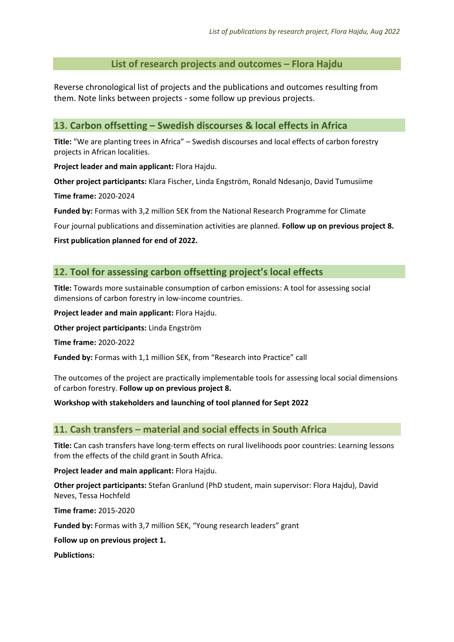### **List of research projects and outcomes – Flora Hajdu**

Reverse chronological list of projects and the publications and outcomes resulting from them. Note links between projects - some follow up previous projects.

### **13. Carbon offsetting – Swedish discourses & local effects in Africa**

**Title:** "We are planting trees in Africa" – Swedish discourses and local effects of carbon forestry projects in African localities.

**Project leader and main applicant:** Flora Hajdu.

**Other project participants:** Klara Fischer, Linda Engström, Ronald Ndesanjo, David Tumusiime

**Time frame:** 2020-2024

**Funded by:** Formas with 3,2 million SEK from the National Research Programme for Climate

Four journal publications and dissemination activities are planned. **Follow up on previous project 8.**

**First publication planned for end of 2022.**

#### **12. Tool for assessing carbon offsetting project's local effects**

**Title:** Towards more sustainable consumption of carbon emissions: A tool for assessing social dimensions of carbon forestry in low-income countries.

**Project leader and main applicant:** Flora Hajdu.

**Other project participants:** Linda Engström

**Time frame:** 2020-2022

**Funded by:** Formas with 1,1 million SEK, from "Research into Practice" call

The outcomes of the project are practically implementable tools for assessing local social dimensions of carbon forestry. **Follow up on previous project 8.**

**Workshop with stakeholders and launching of tool planned for Sept 2022**

### **11. Cash transfers – material and social effects in South Africa**

**Title:** Can cash transfers have long-term effects on rural livelihoods poor countries: Learning lessons from the effects of the child grant in South Africa.

**Project leader and main applicant:** Flora Hajdu.

**Other project participants:** Stefan Granlund (PhD student, main supervisor: Flora Hajdu), David Neves, Tessa Hochfeld

**Time frame:** 2015-2020

**Funded by:** Formas with 3,7 million SEK, "Young research leaders" grant

**Follow up on previous project 1.**

**Publictions:**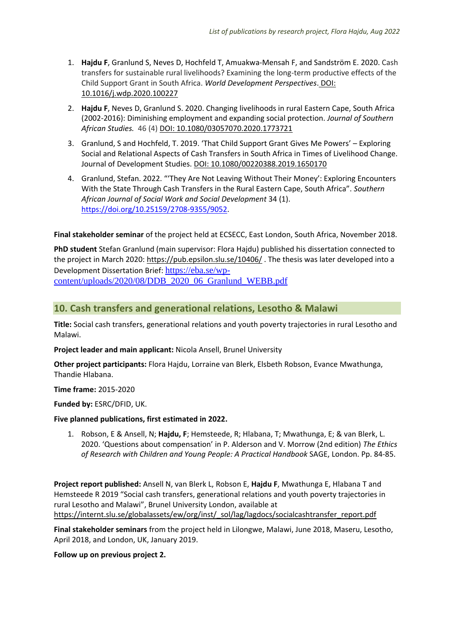- 1. **Hajdu F**, Granlund S, Neves D, Hochfeld T, Amuakwa-Mensah F, and Sandström E. 2020. Cash transfers for sustainable rural livelihoods? Examining the long-term productive effects of the Child Support Grant in South Africa. *World Development Perspectives*. DOI: 10.1016/j.wdp.2020.100227
- 2. **Hajdu F**, Neves D, Granlund S. 2020. Changing livelihoods in rural Eastern Cape, South Africa (2002-2016): Diminishing employment and expanding social protection. *Journal of Southern African Studies.* 46 (4) DOI: 10.1080/03057070.2020.1773721
- 3. Granlund, S and Hochfeld, T. 2019. 'That Child Support Grant Gives Me Powers' Exploring Social and Relational Aspects of Cash Transfers in South Africa in Times of Livelihood Change. Journal of Development Studies. DOI: 10.1080/00220388.2019.1650170
- 4. Granlund, Stefan. 2022. "'They Are Not Leaving Without Their Money': Exploring Encounters With the State Through Cash Transfers in the Rural Eastern Cape, South Africa". *Southern African Journal of Social Work and Social Development* 34 (1). [https://doi.org/10.25159/2708-9355/9052.](https://doi.org/10.25159/2708-9355/9052)

**Final stakeholder seminar** of the project held at ECSECC, East London, South Africa, November 2018.

**PhD student** Stefan Granlund (main supervisor: Flora Hajdu) published his dissertation connected to the project in March 2020:<https://pub.epsilon.slu.se/10406/>. The thesis was later developed into a Development Dissertation Brief: [https://eba.se/wp](https://eba.se/wp-content/uploads/2020/08/DDB_2020_06_Granlund_WEBB.pdf)[content/uploads/2020/08/DDB\\_2020\\_06\\_Granlund\\_WEBB.pdf](https://eba.se/wp-content/uploads/2020/08/DDB_2020_06_Granlund_WEBB.pdf)

### **10. Cash transfers and generational relations, Lesotho & Malawi**

**Title:** Social cash transfers, generational relations and youth poverty trajectories in rural Lesotho and Malawi.

**Project leader and main applicant:** Nicola Ansell, Brunel University

**Other project participants:** Flora Hajdu, Lorraine van Blerk, Elsbeth Robson, Evance Mwathunga, Thandie Hlabana.

**Time frame:** 2015-2020

**Funded by:** ESRC/DFID, UK.

#### **Five planned publications, first estimated in 2022.**

1. Robson, E & Ansell, N; **Hajdu, F**; Hemsteede, R; Hlabana, T; Mwathunga, E; & van Blerk, L. 2020. 'Questions about compensation' in P. Alderson and V. Morrow (2nd edition) *The Ethics of Research with Children and Young People: A Practical Handbook* SAGE, London. Pp. 84-85.

**Project report published:** Ansell N, van Blerk L, Robson E, **Hajdu F**, Mwathunga E, Hlabana T and Hemsteede R 2019 "Social cash transfers, generational relations and youth poverty trajectories in rural Lesotho and Malawi", Brunel University London, available at [https://internt.slu.se/globalassets/ew/org/inst/\\_sol/lag/lagdocs/socialcashtransfer\\_report.pdf](https://internt.slu.se/globalassets/ew/org/inst/_sol/lag/lagdocs/socialcashtransfer_report.pdf)

**Final stakeholder seminars** from the project held in Lilongwe, Malawi, June 2018, Maseru, Lesotho, April 2018, and London, UK, January 2019.

**Follow up on previous project 2.**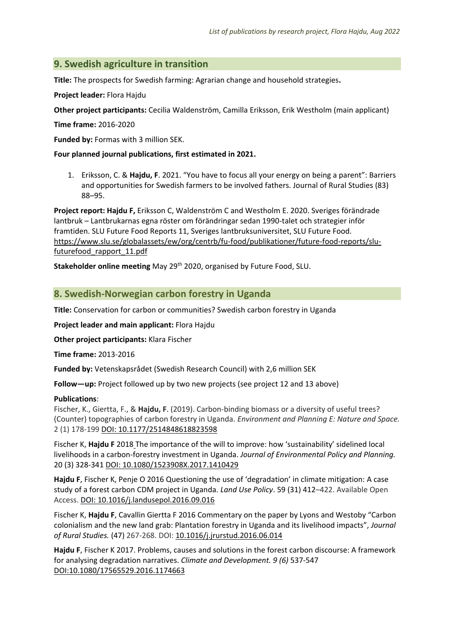# **9. Swedish agriculture in transition**

**Title:** [The prospects for Swedish farming: Agrarian change and household strategies](http://www.slu.se/en/departments/urban-rural-development/research/rural-development/projects/prospects/)**.** 

**Project leader:** Flora Hajdu

**Other project participants:** Cecilia Waldenström, Camilla Eriksson, Erik Westholm (main applicant)

**Time frame:** 2016-2020

**Funded by:** Formas with 3 million SEK.

#### **Four planned journal publications, first estimated in 2021.**

1. Eriksson, C. & **Hajdu, F**. 2021. "You have to focus all your energy on being a parent": Barriers and opportunities for Swedish farmers to be involved fathers. Journal of Rural Studies (83) 88–95.

**Project report: Hajdu F,** Eriksson C, Waldenström C and Westholm E. 2020. Sveriges förändrade lantbruk – Lantbrukarnas egna röster om förändringar sedan 1990-talet och strategier inför framtiden. SLU Future Food Reports 11, Sveriges lantbruksuniversitet, SLU Future Food. [https://www.slu.se/globalassets/ew/org/centrb/fu-food/publikationer/future-food-reports/slu](https://www.slu.se/globalassets/ew/org/centrb/fu-food/publikationer/future-food-reports/slu-futurefood_rapport_11.pdf)[futurefood\\_rapport\\_11.pdf](https://www.slu.se/globalassets/ew/org/centrb/fu-food/publikationer/future-food-reports/slu-futurefood_rapport_11.pdf)

**Stakeholder online meeting** May 29<sup>th</sup> 2020, organised by Future Food, SLU.

### **8. Swedish-Norwegian carbon forestry in Uganda**

**Title:** Conservation for carbon or communities? Swedish carbon forestry in Uganda

**Project leader and main applicant:** Flora Hajdu

**Other project participants:** Klara Fischer

**Time frame:** 2013-2016

**Funded by:** Vetenskapsrådet (Swedish Research Council) with 2,6 million SEK

**Follow—up:** Project followed up by two new projects (see project 12 and 13 above)

#### **Publications**:

Fischer, K., Giertta, F., & **Hajdu, F**. (2019). Carbon-binding biomass or a diversity of useful trees? (Counter) topographies of carbon forestry in Uganda. *Environment and Planning E: Nature and Space.* 2 (1) 178-199 DOI: [10.1177/2514848618823598](https://doi.org/10.1177%2F2514848618823598)

Fischer K, **Hajdu F** 2018 The importance of the will to improve: how 'sustainability' sidelined local livelihoods in a carbon-forestry investment in Uganda. *Journal of Environmental Policy and Planning.* 20 (3) 328-34[1 DOI: 10.1080/1523908X.2017.1410429](https://doi.org/10.1080/1523908X.2017.1410429)

**Hajdu F**, Fischer K, Penje O 2016 Questioning the use of 'degradation' in climate mitigation: A case study of a forest carbon CDM project in Uganda. *Land Use Policy*. [59](http://www.sciencedirect.com/science/journal/02648377/59/supp/C) (31) 412–422. Available Open Access. DOI: [10.1016/j.landusepol.2016.09.016](https://doi.org/10.1016/j.landusepol.2016.09.016)

Fischer K, **Hajdu F**, Cavallin Giertta F 2016 Commentary on the paper by Lyons and Westoby "Carbon colonialism and the new land grab: Plantation forestry in Uganda and its livelihood impacts", *Journal of Rural Studies.* (47) 267-268. DOI: [10.1016/j.jrurstud.2016.06.014](https://doi.org/10.1016/j.jrurstud.2016.06.014)

**Hajdu F**, Fischer K 2017. Problems, causes and solutions in the forest carbon discourse: A framework for analysing degradation narratives. *Climate and Development. 9 (6)* 537-547 DOI:10.1080/17565529.2016.1174663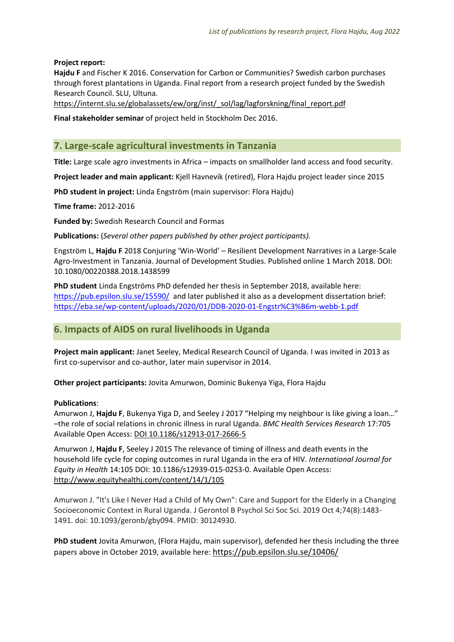#### **Project report:**

**Hajdu F** and Fischer K 2016. Conservation for Carbon or Communities? Swedish carbon purchases through forest plantations in Uganda. Final report from a research project funded by the Swedish Research Council. SLU, Ultuna.

[https://internt.slu.se/globalassets/ew/org/inst/\\_sol/lag/lagforskning/final\\_report.pdf](https://internt.slu.se/globalassets/ew/org/inst/_sol/lag/lagforskning/final_report.pdf)

**Final stakeholder seminar** of project held in Stockholm Dec 2016.

# **7. Large-scale agricultural investments in Tanzania**

**Title:** Large scale agro investments in Africa – impacts on smallholder land access and food security.

**Project leader and main applicant:** Kjell Havnevik (retired), Flora Hajdu project leader since 2015

**PhD student in project:** Linda Engström (main supervisor: Flora Hajdu)

**Time frame:** 2012-2016

**Funded by:** Swedish Research Council and Formas

**Publications:** (*Several other papers published by other project participants).* 

Engström L, **Hajdu F** 2018 Conjuring 'Win-World' – Resilient Development Narratives in a Large-Scale Agro-Investment in Tanzania. Journal of Development Studies. Published online 1 March 2018. DOI: 10.1080/00220388.2018.1438599

**PhD student** Linda Engströms PhD defended her thesis in September 2018, available here: <https://pub.epsilon.slu.se/15590/> and later published it also as a development dissertation brief: <https://eba.se/wp-content/uploads/2020/01/DDB-2020-01-Engstr%C3%B6m-webb-1.pdf>

### **6. Impacts of AIDS on rural livelihoods in Uganda**

**Project main applicant:** Janet Seeley, Medical Research Council of Uganda. I was invited in 2013 as first co-supervisor and co-author, later main supervisor in 2014.

**Other project participants:** Jovita Amurwon, Dominic Bukenya Yiga, Flora Hajdu

#### **Publications**:

Amurwon J, **Hajdu F**, Bukenya Yiga D, and Seeley J 2017 "Helping my neighbour is like giving a loan…" –the role of social relations in chronic illness in rural Uganda. *BMC Health Services Research* 17:705 Available Open Access: DOI 10.1186/s12913-017-2666-5

Amurwon J, **Hajdu F**, Seeley J 2015 The relevance of timing of illness and death events in the household life cycle for coping outcomes in rural Uganda in the era of HIV. *International Journal for Equity in Health* 14:105 DOI: 10.1186/s12939-015-0253-0. Available Open Access: <http://www.equityhealthj.com/content/14/1/105>

Amurwon J. "It's Like I Never Had a Child of My Own": Care and Support for the Elderly in a Changing Socioeconomic Context in Rural Uganda. J Gerontol B Psychol Sci Soc Sci. 2019 Oct 4;74(8):1483- 1491. doi: 10.1093/geronb/gby094. PMID: 30124930.

**PhD student** Jovita Amurwon, (Flora Hajdu, main supervisor), defended her thesis including the three papers above in October 2019, available here: <https://pub.epsilon.slu.se/10406/>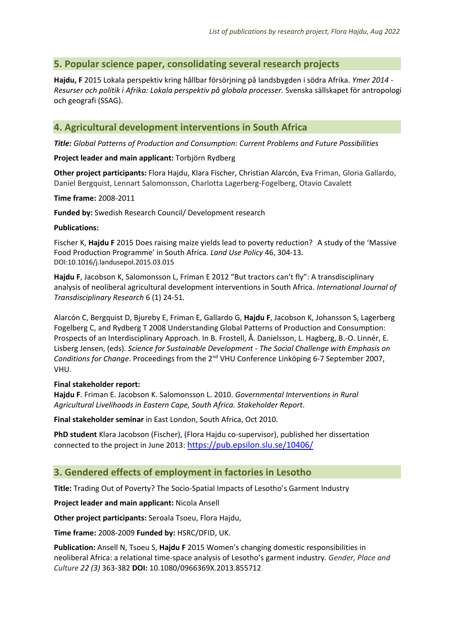# **5. Popular science paper, consolidating several research projects**

**Hajdu, F** 2015 Lokala perspektiv kring hållbar försörjning på landsbygden i södra Afrika. *Ymer 2014 - Resurser och politik i Afrika: Lokala perspektiv på globala processer.* Svenska sällskapet för antropologi och geografi (SSAG).

# **4. Agricultural development interventions in South Africa**

*Title: Global Patterns of Production and Consumption: Current Problems and Future Possibilities*

**Project leader and main applicant:** Torbjörn Rydberg

**Other project participants:** Flora Hajdu, Klara Fischer, Christian Alarcón, Eva Friman, Gloria Gallardo, Daniel Bergquist, Lennart Salomonsson, Charlotta Lagerberg-Fogelberg, Otavio Cavalett

**Time frame:** 2008-2011

**Funded by:** Swedish Research Council/ Development research

#### **Publications:**

Fischer K, **Hajdu F** 2015 Does raising maize yields lead to poverty reduction? A study of the 'Massive Food Production Programme' in South Africa*. Land Use Policy* 46, 304-13*.* [DOI:10.1016/j.landusepol.2015.03.015](http://dx.doi.org/10.1016/j.landusepol.2015.03.015)

**Hajdu F**, Jacobson K, Salomonsson L, Friman E 2012 "But tractors can't fly": A transdisciplinary analysis of neoliberal agricultural development interventions in South Africa. *International Journal of Transdisciplinary Research* 6 (1) 24-51*.*

Alarcón C, Bergquist D, Bjureby E, Friman E, Gallardo G, **Hajdu F**, Jacobson K, Johansson S, Lagerberg Fogelberg C, and Rydberg T 2008 Understanding Global Patterns of Production and Consumption: Prospects of an Interdisciplinary Approach. In B. Frostell, Å. Danielsson, L. Hagberg, B.-O. Linnér, E. Lisberg Jensen, (eds). *Science for Sustainable Development - The Social Challenge with Emphasis on Conditions for Change*. Proceedings from the 2<sup>nd</sup> VHU Conference Linköping 6-7 September 2007, VHU.

#### **Final stakeholder report:**

**Hajdu F**. Friman E. Jacobson K. Salomonsson L. 2010. *Governmental Interventions in Rural Agricultural Livelihoods in Eastern Cape, South Africa. Stakeholder Report*.

**Final stakeholder seminar** in East London, South Africa, Oct 2010.

**PhD student** Klara Jacobson (Fischer), (Flora Hajdu co-supervisor), published her dissertation connected to the project in June 2013: <https://pub.epsilon.slu.se/10406/>

### **3. Gendered effects of employment in factories in Lesotho**

**Title:** Trading Out of Poverty? The Socio-Spatial Impacts of Lesotho's Garment Industry

**Project leader and main applicant:** Nicola Ansell

**Other project participants:** Seroala Tsoeu, Flora Hajdu,

**Time frame:** 2008-2009 **Funded by:** HSRC/DFID, UK.

**Publication:** Ansell N, Tsoeu S, **Hajdu F** 2015 Women's changing domestic responsibilities in neoliberal Africa: a relational time-space analysis of Lesotho's garment industry*. Gender, Place and Culture 22 (3)* 363-382 **DOI:** 10.1080/0966369X.2013.855712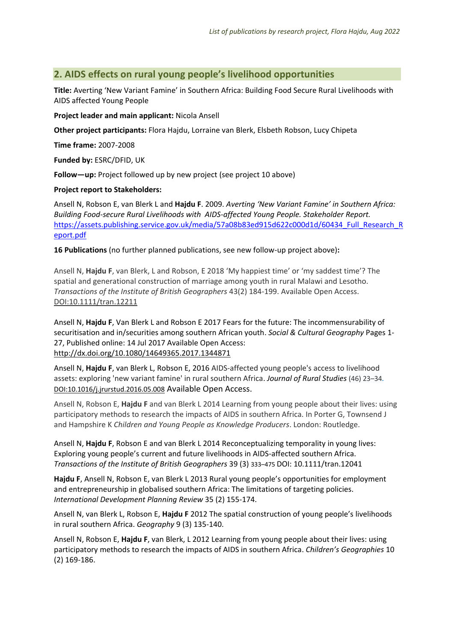### **2. AIDS effects on rural young people's livelihood opportunities**

**Title:** Averting 'New Variant Famine' in Southern Africa: Building Food Secure Rural Livelihoods with AIDS affected Young People

**Project leader and main applicant:** Nicola Ansell

**Other project participants:** Flora Hajdu, Lorraine van Blerk, Elsbeth Robson, Lucy Chipeta

**Time frame:** 2007-2008

**Funded by:** ESRC/DFID, UK

**Follow—up:** Project followed up by new project (see project 10 above)

#### **Project report to Stakeholders:**

Ansell N, Robson E, van Blerk L and **Hajdu F**. 2009. *Averting 'New Variant Famine' in Southern Africa: Building Food-secure Rural Livelihoods with AIDS-affected Young People. Stakeholder Report.* [https://assets.publishing.service.gov.uk/media/57a08b83ed915d622c000d1d/60434\\_Full\\_Research\\_R](https://assets.publishing.service.gov.uk/media/57a08b83ed915d622c000d1d/60434_Full_Research_Report.pdf) [eport.pdf](https://assets.publishing.service.gov.uk/media/57a08b83ed915d622c000d1d/60434_Full_Research_Report.pdf)

**16 Publications** (no further planned publications, see new follow-up project above)**:**

Ansell N, Hajdu F, van Blerk, L and Robson, E 2018 'My happiest time' or 'my saddest time'? The spatial and generational construction of marriage among youth in rural Malawi and Lesotho. *Transactions of the Institute of British Geographers* 43(2) 184-199. Available Open Access. DOI:10.1111/tran.12211

Ansell N, **Hajdu F**, Van Blerk L and Robson E 2017 [Fears for the future: The incommensurability of](http://www.tandfonline.com/doi/full/10.1080/14649365.2017.1344871)  [securitisation and in/securities among southern African youth.](http://www.tandfonline.com/doi/full/10.1080/14649365.2017.1344871) *Social & Cultural Geography* Pages 1- 27, Published online: 14 Jul 2017 Available Open Access: <http://dx.doi.org/10.1080/14649365.2017.1344871>

Ansell N, **Hajdu F**, van Blerk L, Robson E, 2016 AIDS-affected young people's access to livelihood assets: exploring 'new variant famine' in rural southern Africa. *Journal of Rural Studies* (46) 23–34*.* [DOI:10.1016/j.jrurstud.2016.05.008](http://dx.doi.org/10.1016/j.jrurstud.2016.05.008) Available Open Access.

Ansell N, Robson E, **Hajdu F** and van Blerk L 2014 Learning from young people about their lives: using participatory methods to research the impacts of AIDS in southern Africa. In Porter G, Townsend J and Hampshire K *Children and Young People as Knowledge Producers*. London: Routledge.

Ansell N, **Hajdu F**, Robson E and van Blerk L 2014 Reconceptualizing temporality in young lives: Exploring young people's current and future livelihoods in AIDS-affected southern Africa. *Transactions of the Institute of British Geographers* 39 (3) 333–475 DOI: 10.1111/tran.12041

**Hajdu F**, Ansell N, Robson E, van Blerk L 2013 Rural young people's opportunities for employment and entrepreneurship in globalised southern Africa: The limitations of targeting policies. *International Development Planning Review* 35 (2) 155-174.

Ansell N, van Blerk L, Robson E, **Hajdu F** 2012 The spatial construction of young people's livelihoods in rural southern Africa. *Geography* 9 (3) 135-140.

Ansell N, Robson E, **Hajdu F**, van Blerk, L 2012 Learning from young people about their lives: using participatory methods to research the impacts of AIDS in southern Africa. *Children's Geographies* 10 (2) 169-186.